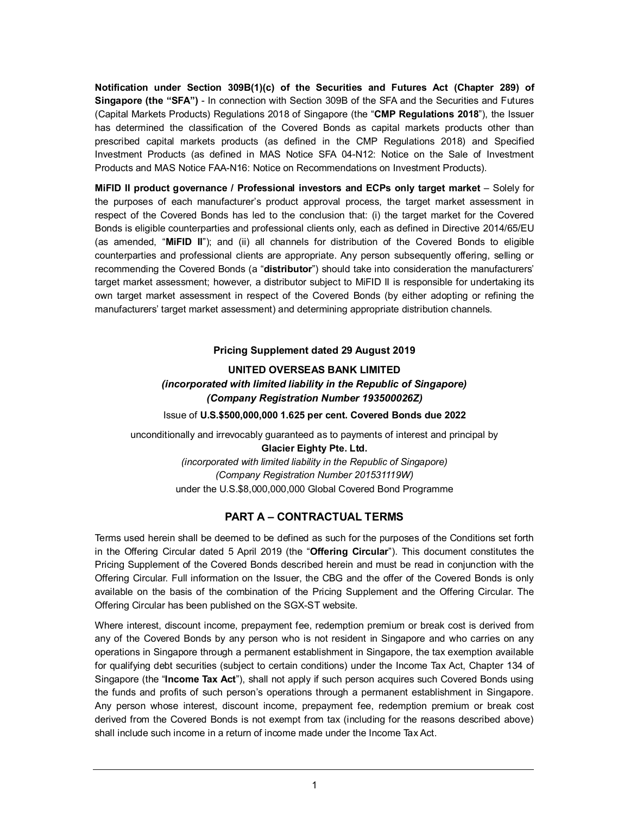**Notification under Section 309B(1)(c) of the Securities and Futures Act (Chapter 289) of Singapore (the "SFA")** - In connection with Section 309B of the SFA and the Securities and Futures (Capital Markets Products) Regulations 2018 of Singapore (the "**CMP Regulations 2018**"), the Issuer has determined the classification of the Covered Bonds as capital markets products other than prescribed capital markets products (as defined in the CMP Regulations 2018) and Specified Investment Products (as defined in MAS Notice SFA 04-N12: Notice on the Sale of Investment Products and MAS Notice FAA-N16: Notice on Recommendations on Investment Products).

**MiFID II product governance / Professional investors and ECPs only target market** – Solely for the purposes of each manufacturer's product approval process, the target market assessment in respect of the Covered Bonds has led to the conclusion that: (i) the target market for the Covered Bonds is eligible counterparties and professional clients only, each as defined in Directive 2014/65/EU (as amended, "**MiFID II**"); and (ii) all channels for distribution of the Covered Bonds to eligible counterparties and professional clients are appropriate. Any person subsequently offering, selling or recommending the Covered Bonds (a "**distributor**") should take into consideration the manufacturers' target market assessment; however, a distributor subject to MiFID II is responsible for undertaking its own target market assessment in respect of the Covered Bonds (by either adopting or refining the manufacturers' target market assessment) and determining appropriate distribution channels.

### **Pricing Supplement dated 29 August 2019**

# **UNITED OVERSEAS BANK LIMITED** *(incorporated with limited liability in the Republic of Singapore) (Company Registration Number 193500026Z)* Issue of **U.S.\$500,000,000 1.625 per cent. Covered Bonds due 2022**

unconditionally and irrevocably guaranteed as to payments of interest and principal by **Glacier Eighty Pte. Ltd.** *(incorporated with limited liability in the Republic of Singapore) (Company Registration Number 201531119W)* under the U.S.\$8,000,000,000 Global Covered Bond Programme

# **PART A – CONTRACTUAL TERMS**

Terms used herein shall be deemed to be defined as such for the purposes of the Conditions set forth in the Offering Circular dated 5 April 2019 (the "**Offering Circular**"). This document constitutes the Pricing Supplement of the Covered Bonds described herein and must be read in conjunction with the Offering Circular. Full information on the Issuer, the CBG and the offer of the Covered Bonds is only available on the basis of the combination of the Pricing Supplement and the Offering Circular. The Offering Circular has been published on the SGX-ST website.

Where interest, discount income, prepayment fee, redemption premium or break cost is derived from any of the Covered Bonds by any person who is not resident in Singapore and who carries on any operations in Singapore through a permanent establishment in Singapore, the tax exemption available for qualifying debt securities (subject to certain conditions) under the Income Tax Act, Chapter 134 of Singapore (the "**Income Tax Act**"), shall not apply if such person acquires such Covered Bonds using the funds and profits of such person's operations through a permanent establishment in Singapore. Any person whose interest, discount income, prepayment fee, redemption premium or break cost derived from the Covered Bonds is not exempt from tax (including for the reasons described above) shall include such income in a return of income made under the Income Tax Act.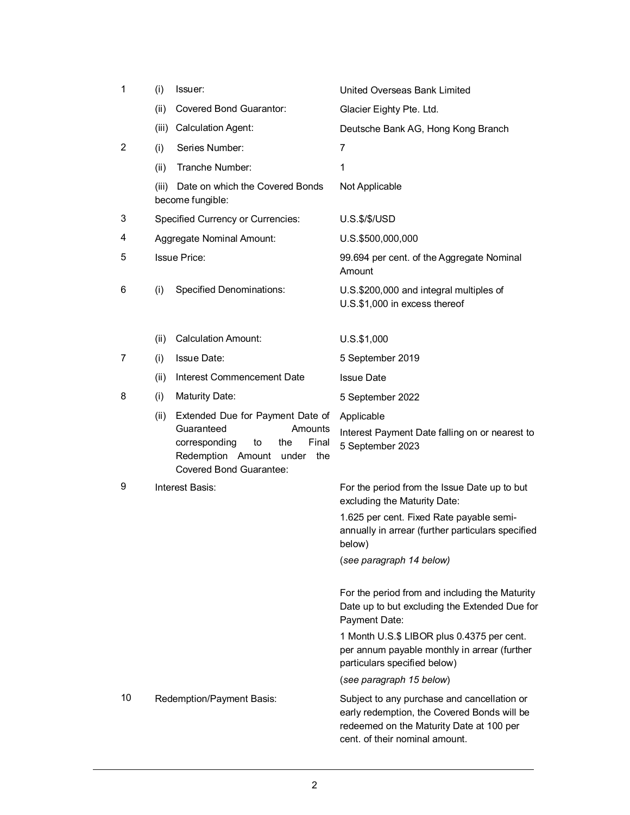| 1              | (i)   | Issuer:                                                                                                                                                                 | United Overseas Bank Limited                                                                                                                                             |
|----------------|-------|-------------------------------------------------------------------------------------------------------------------------------------------------------------------------|--------------------------------------------------------------------------------------------------------------------------------------------------------------------------|
|                | (ii)  | Covered Bond Guarantor:                                                                                                                                                 | Glacier Eighty Pte. Ltd.                                                                                                                                                 |
|                | (iii) | <b>Calculation Agent:</b>                                                                                                                                               | Deutsche Bank AG, Hong Kong Branch                                                                                                                                       |
| $\overline{2}$ | (i)   | Series Number:                                                                                                                                                          | 7                                                                                                                                                                        |
|                | (ii)  | Tranche Number:                                                                                                                                                         | 1                                                                                                                                                                        |
|                | (iii) | Date on which the Covered Bonds<br>become fungible:                                                                                                                     | Not Applicable                                                                                                                                                           |
| 3              |       | <b>Specified Currency or Currencies:</b>                                                                                                                                | $U.S.\$ \$/ $\frac{1}{2}$ /USD                                                                                                                                           |
| 4              |       | Aggregate Nominal Amount:                                                                                                                                               | U.S.\$500,000,000                                                                                                                                                        |
| 5              |       | <b>Issue Price:</b>                                                                                                                                                     | 99.694 per cent. of the Aggregate Nominal<br>Amount                                                                                                                      |
| 6              | (i)   | <b>Specified Denominations:</b>                                                                                                                                         | U.S.\$200,000 and integral multiples of<br>U.S.\$1,000 in excess thereof                                                                                                 |
|                | (ii)  | <b>Calculation Amount:</b>                                                                                                                                              | U.S.\$1,000                                                                                                                                                              |
| 7              | (i)   | <b>Issue Date:</b>                                                                                                                                                      | 5 September 2019                                                                                                                                                         |
|                | (ii)  | Interest Commencement Date                                                                                                                                              | <b>Issue Date</b>                                                                                                                                                        |
| 8              | (i)   | <b>Maturity Date:</b>                                                                                                                                                   | 5 September 2022                                                                                                                                                         |
|                | (ii)  | Extended Due for Payment Date of<br>Guaranteed<br>Amounts<br>corresponding<br>Final<br>the<br>to<br>Redemption Amount<br>under<br>the<br><b>Covered Bond Guarantee:</b> | Applicable<br>Interest Payment Date falling on or nearest to<br>5 September 2023                                                                                         |
| 9              |       | Interest Basis:                                                                                                                                                         | For the period from the Issue Date up to but<br>excluding the Maturity Date:                                                                                             |
|                |       |                                                                                                                                                                         | 1.625 per cent. Fixed Rate payable semi-<br>annually in arrear (further particulars specified<br>below)                                                                  |
|                |       |                                                                                                                                                                         | (see paragraph 14 below)                                                                                                                                                 |
|                |       |                                                                                                                                                                         | For the period from and including the Maturity<br>Date up to but excluding the Extended Due for<br>Payment Date:                                                         |
|                |       |                                                                                                                                                                         | 1 Month U.S.\$ LIBOR plus 0.4375 per cent.<br>per annum payable monthly in arrear (further<br>particulars specified below)                                               |
|                |       |                                                                                                                                                                         | (see paragraph 15 below)                                                                                                                                                 |
| 10             |       | Redemption/Payment Basis:                                                                                                                                               | Subject to any purchase and cancellation or<br>early redemption, the Covered Bonds will be<br>redeemed on the Maturity Date at 100 per<br>cent. of their nominal amount. |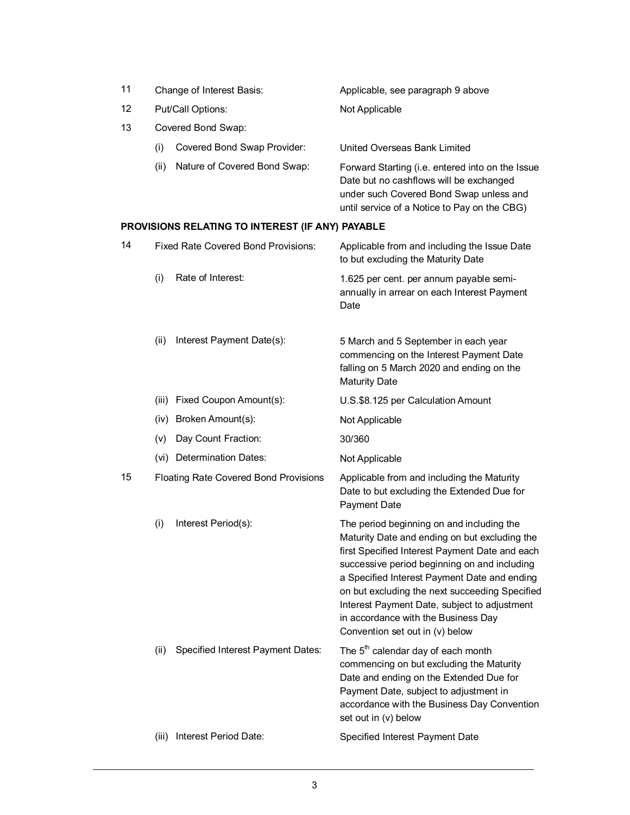| 11 |      | Change of Interest Basis:    | Applicable, see paragraph 9 above                                                                                                                                                      |
|----|------|------------------------------|----------------------------------------------------------------------------------------------------------------------------------------------------------------------------------------|
| 12 |      | Put/Call Options:            | Not Applicable                                                                                                                                                                         |
| 13 |      | Covered Bond Swap:           |                                                                                                                                                                                        |
|    | (i)  | Covered Bond Swap Provider:  | United Overseas Bank Limited                                                                                                                                                           |
|    | (ii) | Nature of Covered Bond Swap: | Forward Starting (i.e. entered into on the Issue<br>Date but no cashflows will be exchanged<br>under such Covered Bond Swap unless and<br>until service of a Notice to Pay on the CBG) |

# **PROVISIONS RELATING TO INTEREST (IF ANY) PAYABLE**

| 14 |       | <b>Fixed Rate Covered Bond Provisions:</b> | Applicable from and including the Issue Date<br>to but excluding the Maturity Date                                                                                                                                                                                                                                                                                                                                       |
|----|-------|--------------------------------------------|--------------------------------------------------------------------------------------------------------------------------------------------------------------------------------------------------------------------------------------------------------------------------------------------------------------------------------------------------------------------------------------------------------------------------|
|    | (i)   | Rate of Interest:                          | 1.625 per cent. per annum payable semi-<br>annually in arrear on each Interest Payment<br>Date                                                                                                                                                                                                                                                                                                                           |
|    | (ii)  | Interest Payment Date(s):                  | 5 March and 5 September in each year<br>commencing on the Interest Payment Date<br>falling on 5 March 2020 and ending on the<br><b>Maturity Date</b>                                                                                                                                                                                                                                                                     |
|    |       | (iii) Fixed Coupon Amount(s):              | U.S.\$8.125 per Calculation Amount                                                                                                                                                                                                                                                                                                                                                                                       |
|    |       | (iv) Broken Amount(s):                     | Not Applicable                                                                                                                                                                                                                                                                                                                                                                                                           |
|    | (v)   | Day Count Fraction:                        | 30/360                                                                                                                                                                                                                                                                                                                                                                                                                   |
|    |       | (vi) Determination Dates:                  | Not Applicable                                                                                                                                                                                                                                                                                                                                                                                                           |
| 15 |       | Floating Rate Covered Bond Provisions      | Applicable from and including the Maturity<br>Date to but excluding the Extended Due for<br>Payment Date                                                                                                                                                                                                                                                                                                                 |
|    | (i)   | Interest Period(s):                        | The period beginning on and including the<br>Maturity Date and ending on but excluding the<br>first Specified Interest Payment Date and each<br>successive period beginning on and including<br>a Specified Interest Payment Date and ending<br>on but excluding the next succeeding Specified<br>Interest Payment Date, subject to adjustment<br>in accordance with the Business Day<br>Convention set out in (v) below |
|    | (ii)  | Specified Interest Payment Dates:          | The 5 <sup>th</sup> calendar day of each month<br>commencing on but excluding the Maturity<br>Date and ending on the Extended Due for<br>Payment Date, subject to adjustment in<br>accordance with the Business Day Convention<br>set out in (v) below                                                                                                                                                                   |
|    | (iii) | Interest Period Date:                      | Specified Interest Payment Date                                                                                                                                                                                                                                                                                                                                                                                          |
|    |       |                                            |                                                                                                                                                                                                                                                                                                                                                                                                                          |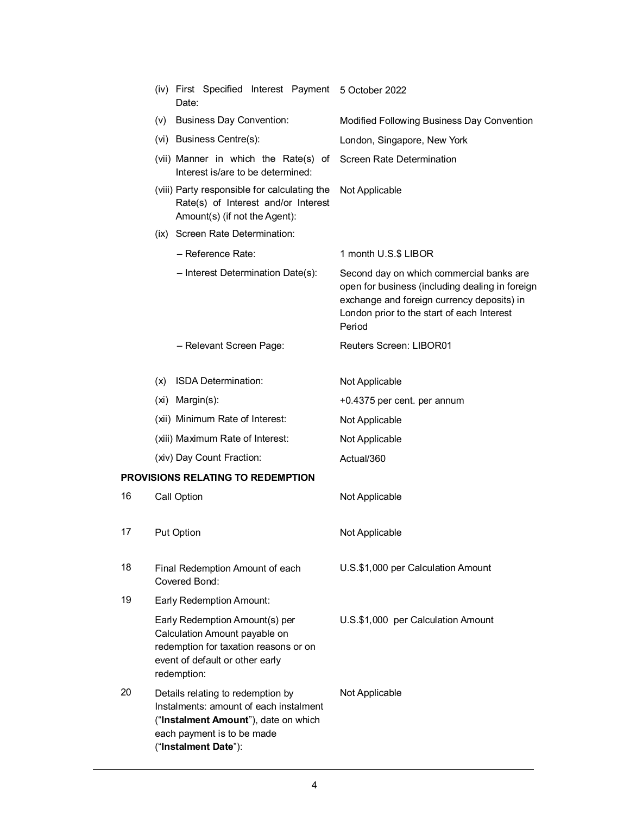|    |                                                  | (iv) First Specified Interest Payment 5 October 2022<br>Date:                                                                                                             |                                                                                                                                                                                                   |
|----|--------------------------------------------------|---------------------------------------------------------------------------------------------------------------------------------------------------------------------------|---------------------------------------------------------------------------------------------------------------------------------------------------------------------------------------------------|
|    |                                                  | (v) Business Day Convention:                                                                                                                                              | Modified Following Business Day Convention                                                                                                                                                        |
|    |                                                  | (vi) Business Centre(s):                                                                                                                                                  | London, Singapore, New York                                                                                                                                                                       |
|    |                                                  | (vii) Manner in which the Rate(s) of<br>Interest is/are to be determined:                                                                                                 | Screen Rate Determination                                                                                                                                                                         |
|    |                                                  | (viii) Party responsible for calculating the<br>Rate(s) of Interest and/or Interest<br>Amount(s) (if not the Agent):                                                      | Not Applicable                                                                                                                                                                                    |
|    |                                                  | (ix) Screen Rate Determination:                                                                                                                                           |                                                                                                                                                                                                   |
|    |                                                  | - Reference Rate:                                                                                                                                                         | 1 month U.S.\$ LIBOR                                                                                                                                                                              |
|    |                                                  | - Interest Determination Date(s):                                                                                                                                         | Second day on which commercial banks are<br>open for business (including dealing in foreign<br>exchange and foreign currency deposits) in<br>London prior to the start of each Interest<br>Period |
|    |                                                  | - Relevant Screen Page:                                                                                                                                                   | <b>Reuters Screen: LIBOR01</b>                                                                                                                                                                    |
|    | (x)                                              | <b>ISDA Determination:</b>                                                                                                                                                | Not Applicable                                                                                                                                                                                    |
|    |                                                  | (xi) Margin(s):                                                                                                                                                           | +0.4375 per cent. per annum                                                                                                                                                                       |
|    |                                                  | (xii) Minimum Rate of Interest:                                                                                                                                           | Not Applicable                                                                                                                                                                                    |
|    |                                                  | (xiii) Maximum Rate of Interest:                                                                                                                                          | Not Applicable                                                                                                                                                                                    |
|    |                                                  | (xiv) Day Count Fraction:                                                                                                                                                 | Actual/360                                                                                                                                                                                        |
|    |                                                  | PROVISIONS RELATING TO REDEMPTION                                                                                                                                         |                                                                                                                                                                                                   |
| 16 |                                                  | Call Option                                                                                                                                                               | Not Applicable                                                                                                                                                                                    |
| 17 |                                                  | Put Option                                                                                                                                                                | Not Applicable                                                                                                                                                                                    |
| 18 | Final Redemption Amount of each<br>Covered Bond: |                                                                                                                                                                           | U.S.\$1,000 per Calculation Amount                                                                                                                                                                |
| 19 |                                                  | <b>Early Redemption Amount:</b>                                                                                                                                           |                                                                                                                                                                                                   |
|    |                                                  | Early Redemption Amount(s) per<br>Calculation Amount payable on<br>redemption for taxation reasons or on<br>event of default or other early<br>redemption:                | U.S.\$1,000 per Calculation Amount                                                                                                                                                                |
| 20 |                                                  | Details relating to redemption by<br>Instalments: amount of each instalment<br>("Instalment Amount"), date on which<br>each payment is to be made<br>("Instalment Date"): | Not Applicable                                                                                                                                                                                    |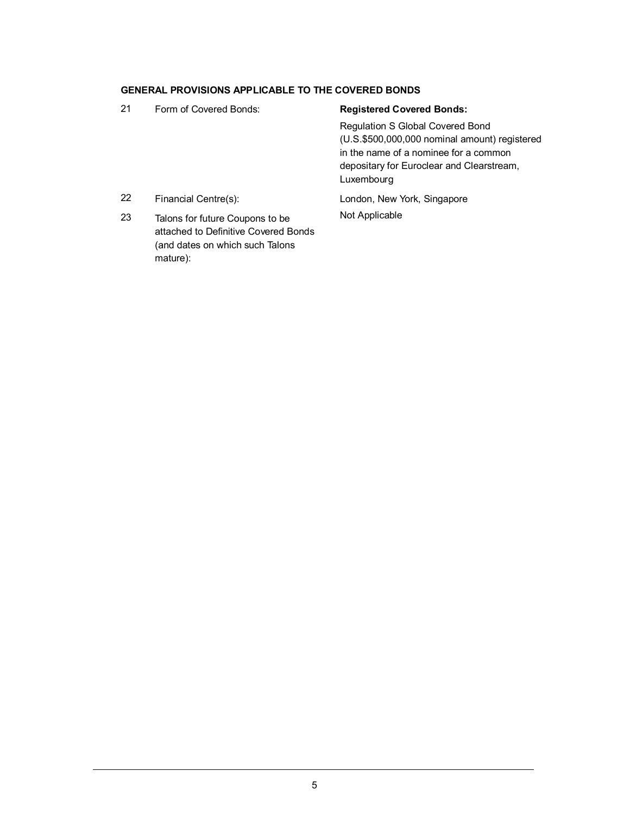### **GENERAL PROVISIONS APPLICABLE TO THE COVERED BONDS**

(and dates on which such Talons

mature):

21 Form of Covered Bonds: **Registered Covered Bonds:** Regulation S Global Covered Bond (U.S.\$500,000,000 nominal amount) registered in the name of a nominee for a common depositary for Euroclear and Clearstream, Luxembourg 22 Financial Centre(s): London, New York, Singapore 23 Talons for future Coupons to be attached to Definitive Covered Bonds Not Applicable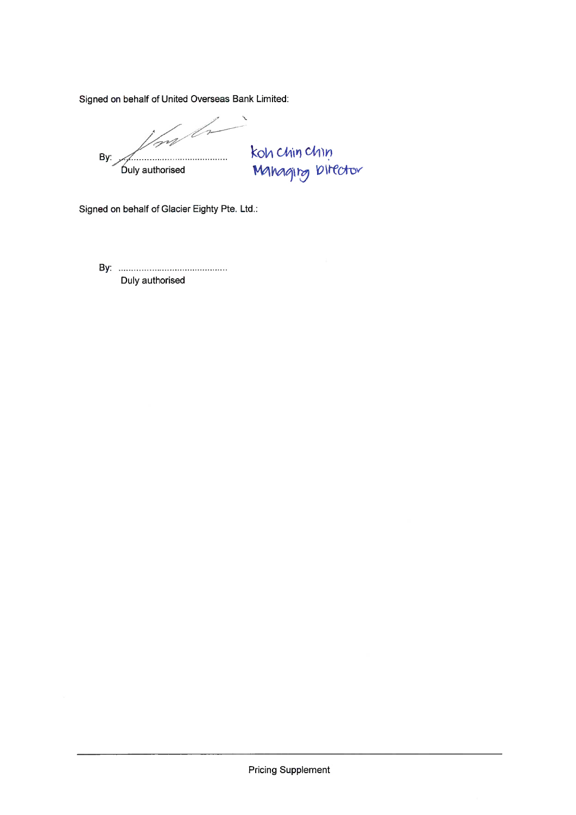Signed on behalf of United Overseas Bank Limited:

Ins h Vall By: **Óuly authorised** 

koh chin chin<br>Mahagirg birector

Signed on behalf of Glacier Eighty Pte. Ltd.:

Duly authorised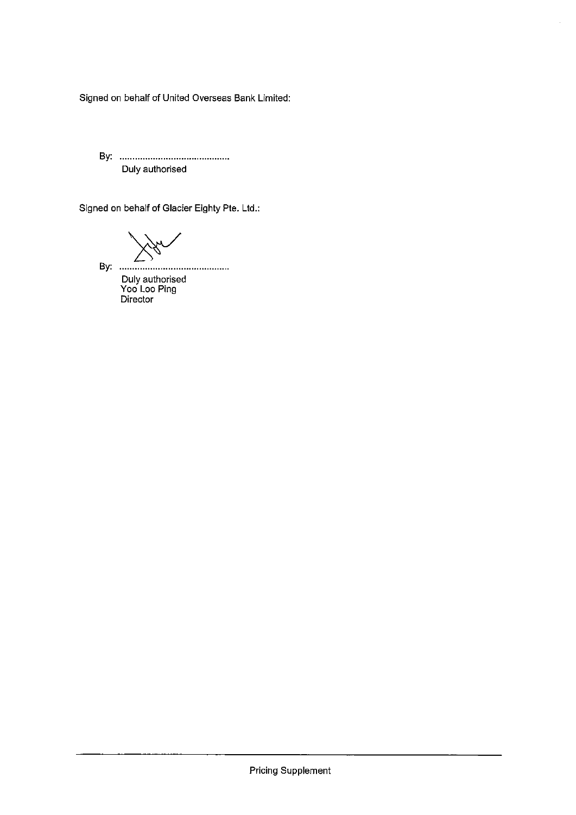Signed on behalf of United Overseas Bank Limited:

Duly authorised

Signed on behalf of Glacier Eighty Pte. Ltd.:

 $M_{\rm X}$ 

Duly authorised<br>Yoo Loo Ping<br>Director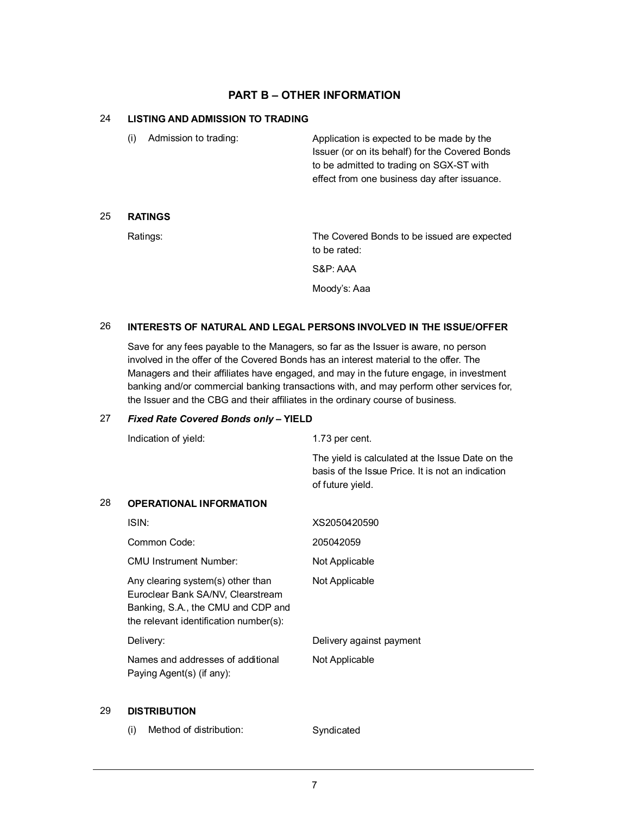## **PART B – OTHER INFORMATION**

## 24 **LISTING AND ADMISSION TO TRADING**

| (i) | Admission to trading: | Application is expected to be made by the       |
|-----|-----------------------|-------------------------------------------------|
|     |                       | Issuer (or on its behalf) for the Covered Bonds |
|     |                       | to be admitted to trading on SGX-ST with        |
|     |                       | effect from one business day after issuance.    |
|     |                       |                                                 |

### 25 **RATINGS**

Ratings: The Covered Bonds to be issued are expected to be rated:

S&P: AAA

Moody's: Aaa

#### 26 **INTERESTS OF NATURAL AND LEGAL PERSONS INVOLVED IN THE ISSUE/OFFER**

Save for any fees payable to the Managers, so far as the Issuer is aware, no person involved in the offer of the Covered Bonds has an interest material to the offer. The Managers and their affiliates have engaged, and may in the future engage, in investment banking and/or commercial banking transactions with, and may perform other services for, the Issuer and the CBG and their affiliates in the ordinary course of business.

### 27 *Fixed Rate Covered Bonds only* **– YIELD**

|    | Indication of yield:                                                                                                                                   | 1.73 per cent.                                                                                                            |
|----|--------------------------------------------------------------------------------------------------------------------------------------------------------|---------------------------------------------------------------------------------------------------------------------------|
|    |                                                                                                                                                        | The yield is calculated at the Issue Date on the<br>basis of the Issue Price. It is not an indication<br>of future yield. |
| 28 | <b>OPERATIONAL INFORMATION</b>                                                                                                                         |                                                                                                                           |
|    | ISIN:                                                                                                                                                  | XS2050420590                                                                                                              |
|    | Common Code:                                                                                                                                           | 205042059                                                                                                                 |
|    | CMU Instrument Number:                                                                                                                                 | Not Applicable                                                                                                            |
|    | Any clearing system(s) other than<br>Euroclear Bank SA/NV, Clearstream<br>Banking, S.A., the CMU and CDP and<br>the relevant identification number(s): | Not Applicable                                                                                                            |
|    | Delivery:                                                                                                                                              | Delivery against payment                                                                                                  |
|    | Names and addresses of additional<br>Paying Agent(s) (if any):                                                                                         | Not Applicable                                                                                                            |

## 29 **DISTRIBUTION**

(i) Method of distribution: Syndicated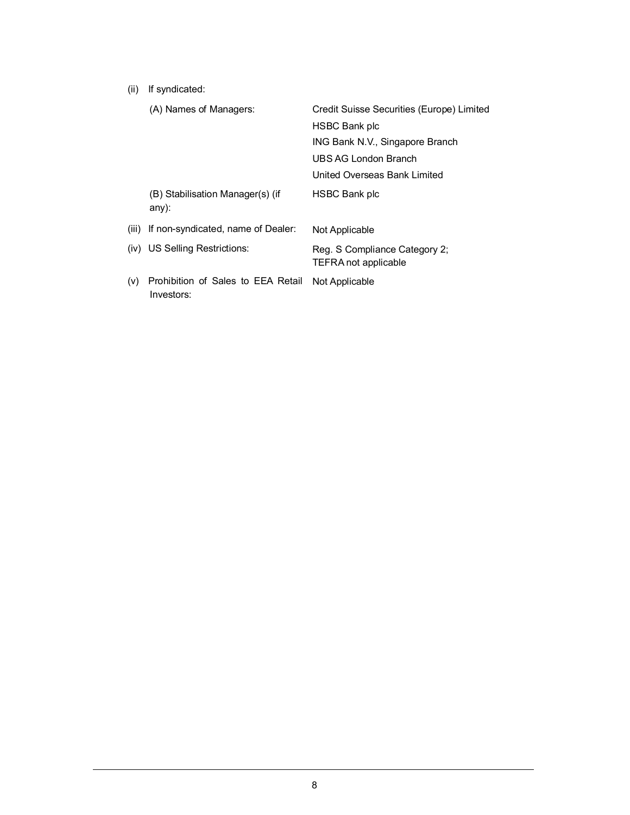(ii) If syndicated:

|       | (A) Names of Managers:                           | Credit Suisse Securities (Europe) Limited                    |
|-------|--------------------------------------------------|--------------------------------------------------------------|
|       |                                                  | <b>HSBC Bank plc</b>                                         |
|       |                                                  | ING Bank N.V., Singapore Branch                              |
|       |                                                  | UBS AG London Branch                                         |
|       |                                                  | United Overseas Bank Limited                                 |
|       | (B) Stabilisation Manager(s) (if<br>$any)$ :     | <b>HSBC Bank plc</b>                                         |
| (iii) | If non-syndicated, name of Dealer:               | Not Applicable                                               |
|       | (iv) US Selling Restrictions:                    | Reg. S Compliance Category 2;<br><b>TEFRA not applicable</b> |
| (v)   | Prohibition of Sales to EEA Retail<br>Investors: | Not Applicable                                               |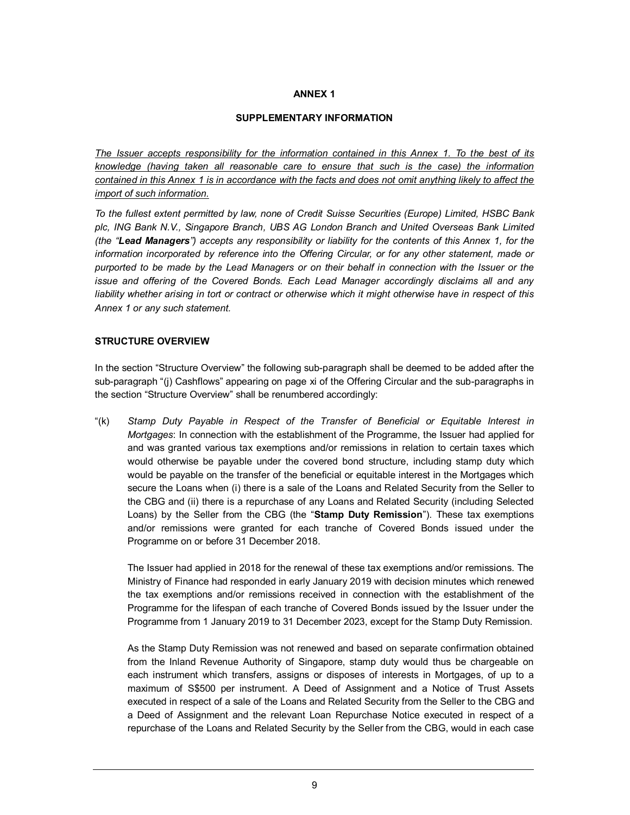### **ANNEX 1**

#### **SUPPLEMENTARY INFORMATION**

*The Issuer accepts responsibility for the information contained in this Annex 1. To the best of its knowledge (having taken all reasonable care to ensure that such is the case) the information contained in this Annex 1 is in accordance with the facts and does not omit anything likely to affect the import of such information.*

*To the fullest extent permitted by law, none of Credit Suisse Securities (Europe) Limited, HSBC Bank plc, ING Bank N.V., Singapore Branch, UBS AG London Branch and United Overseas Bank Limited (the "Lead Managers") accepts any responsibility or liability for the contents of this Annex 1, for the information incorporated by reference into the Offering Circular, or for any other statement, made or purported to be made by the Lead Managers or on their behalf in connection with the Issuer or the issue and offering of the Covered Bonds. Each Lead Manager accordingly disclaims all and any liability whether arising in tort or contract or otherwise which it might otherwise have in respect of this Annex 1 or any such statement.*

### **STRUCTURE OVERVIEW**

In the section "Structure Overview" the following sub-paragraph shall be deemed to be added after the sub-paragraph "(j) Cashflows" appearing on page xi of the Offering Circular and the sub-paragraphs in the section "Structure Overview" shall be renumbered accordingly:

"(k) *Stamp Duty Payable in Respect of the Transfer of Beneficial or Equitable Interest in Mortgages*: In connection with the establishment of the Programme, the Issuer had applied for and was granted various tax exemptions and/or remissions in relation to certain taxes which would otherwise be payable under the covered bond structure, including stamp duty which would be payable on the transfer of the beneficial or equitable interest in the Mortgages which secure the Loans when (i) there is a sale of the Loans and Related Security from the Seller to the CBG and (ii) there is a repurchase of any Loans and Related Security (including Selected Loans) by the Seller from the CBG (the "**Stamp Duty Remission**"). These tax exemptions and/or remissions were granted for each tranche of Covered Bonds issued under the Programme on or before 31 December 2018.

The Issuer had applied in 2018 for the renewal of these tax exemptions and/or remissions. The Ministry of Finance had responded in early January 2019 with decision minutes which renewed the tax exemptions and/or remissions received in connection with the establishment of the Programme for the lifespan of each tranche of Covered Bonds issued by the Issuer under the Programme from 1 January 2019 to 31 December 2023, except for the Stamp Duty Remission.

As the Stamp Duty Remission was not renewed and based on separate confirmation obtained from the Inland Revenue Authority of Singapore, stamp duty would thus be chargeable on each instrument which transfers, assigns or disposes of interests in Mortgages, of up to a maximum of S\$500 per instrument. A Deed of Assignment and a Notice of Trust Assets executed in respect of a sale of the Loans and Related Security from the Seller to the CBG and a Deed of Assignment and the relevant Loan Repurchase Notice executed in respect of a repurchase of the Loans and Related Security by the Seller from the CBG, would in each case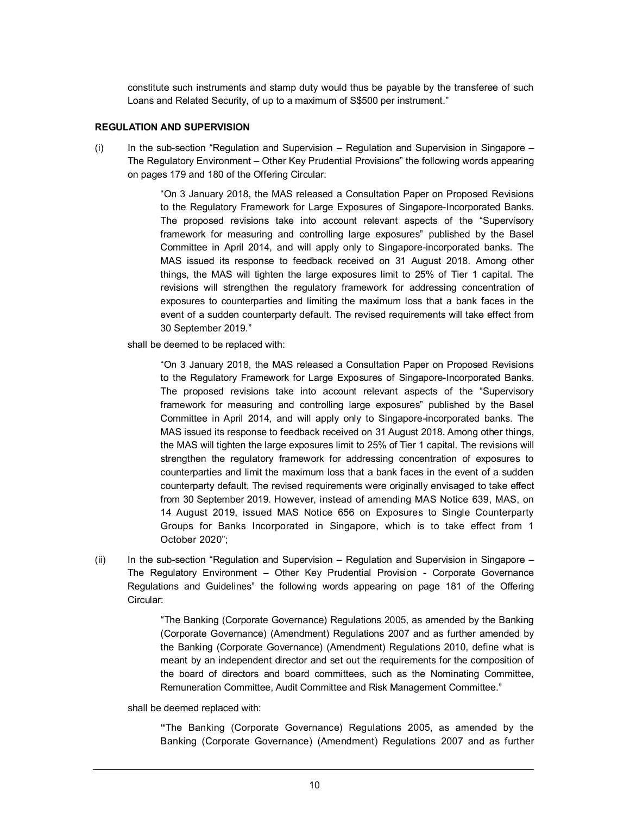constitute such instruments and stamp duty would thus be payable by the transferee of such Loans and Related Security, of up to a maximum of S\$500 per instrument."

#### **REGULATION AND SUPERVISION**

(i) In the sub-section "Regulation and Supervision *–* Regulation and Supervision in Singapore – The Regulatory Environment – Other Key Prudential Provisions" the following words appearing on pages 179 and 180 of the Offering Circular:

> "On 3 January 2018, the MAS released a Consultation Paper on Proposed Revisions to the Regulatory Framework for Large Exposures of Singapore-Incorporated Banks. The proposed revisions take into account relevant aspects of the "Supervisory framework for measuring and controlling large exposures" published by the Basel Committee in April 2014, and will apply only to Singapore-incorporated banks. The MAS issued its response to feedback received on 31 August 2018. Among other things, the MAS will tighten the large exposures limit to 25% of Tier 1 capital. The revisions will strengthen the regulatory framework for addressing concentration of exposures to counterparties and limiting the maximum loss that a bank faces in the event of a sudden counterparty default. The revised requirements will take effect from 30 September 2019."

shall be deemed to be replaced with:

"On 3 January 2018, the MAS released a Consultation Paper on Proposed Revisions to the Regulatory Framework for Large Exposures of Singapore-Incorporated Banks. The proposed revisions take into account relevant aspects of the "Supervisory framework for measuring and controlling large exposures" published by the Basel Committee in April 2014, and will apply only to Singapore-incorporated banks. The MAS issued its response to feedback received on 31 August 2018. Among other things, the MAS will tighten the large exposures limit to 25% of Tier 1 capital. The revisions will strengthen the regulatory framework for addressing concentration of exposures to counterparties and limit the maximum loss that a bank faces in the event of a sudden counterparty default. The revised requirements were originally envisaged to take effect from 30 September 2019. However, instead of amending MAS Notice 639, MAS, on 14 August 2019, issued MAS Notice 656 on Exposures to Single Counterparty Groups for Banks Incorporated in Singapore, which is to take effect from 1 October 2020";

(ii) In the sub-section "Regulation and Supervision *–* Regulation and Supervision in Singapore – The Regulatory Environment – Other Key Prudential Provision - Corporate Governance Regulations and Guidelines" the following words appearing on page 181 of the Offering Circular:

> "The Banking (Corporate Governance) Regulations 2005, as amended by the Banking (Corporate Governance) (Amendment) Regulations 2007 and as further amended by the Banking (Corporate Governance) (Amendment) Regulations 2010, define what is meant by an independent director and set out the requirements for the composition of the board of directors and board committees, such as the Nominating Committee, Remuneration Committee, Audit Committee and Risk Management Committee."

shall be deemed replaced with:

**"**The Banking (Corporate Governance) Regulations 2005, as amended by the Banking (Corporate Governance) (Amendment) Regulations 2007 and as further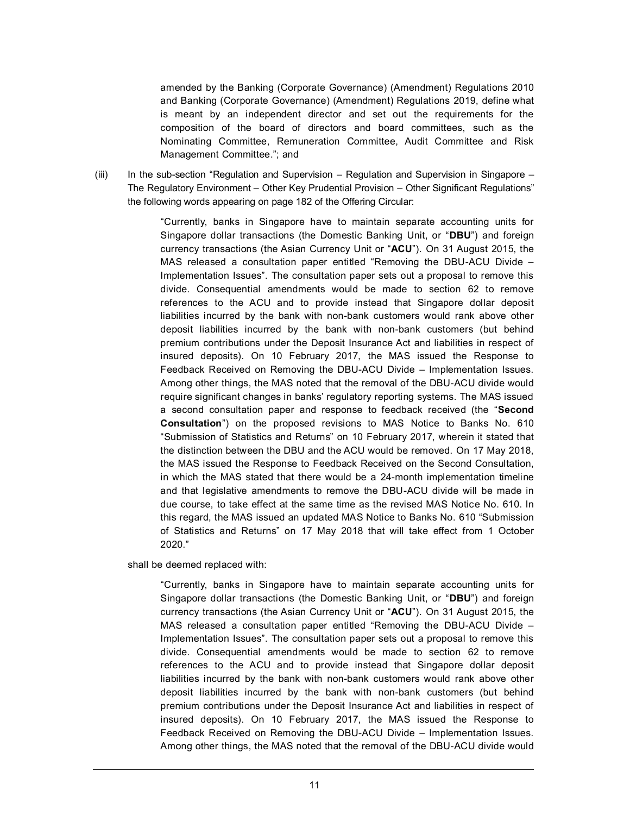amended by the Banking (Corporate Governance) (Amendment) Regulations 2010 and Banking (Corporate Governance) (Amendment) Regulations 2019, define what is meant by an independent director and set out the requirements for the composition of the board of directors and board committees, such as the Nominating Committee, Remuneration Committee, Audit Committee and Risk Management Committee."; and

(iii) In the sub-section "Regulation and Supervision *–* Regulation and Supervision in Singapore – The Regulatory Environment – Other Key Prudential Provision – Other Significant Regulations" the following words appearing on page 182 of the Offering Circular:

> "Currently, banks in Singapore have to maintain separate accounting units for Singapore dollar transactions (the Domestic Banking Unit, or "**DBU**") and foreign currency transactions (the Asian Currency Unit or "**ACU**"). On 31 August 2015, the MAS released a consultation paper entitled "Removing the DBU-ACU Divide – Implementation Issues". The consultation paper sets out a proposal to remove this divide. Consequential amendments would be made to section 62 to remove references to the ACU and to provide instead that Singapore dollar deposit liabilities incurred by the bank with non-bank customers would rank above other deposit liabilities incurred by the bank with non-bank customers (but behind premium contributions under the Deposit Insurance Act and liabilities in respect of insured deposits). On 10 February 2017, the MAS issued the Response to Feedback Received on Removing the DBU-ACU Divide – Implementation Issues. Among other things, the MAS noted that the removal of the DBU-ACU divide would require significant changes in banks' regulatory reporting systems. The MAS issued a second consultation paper and response to feedback received (the "**Second Consultation**") on the proposed revisions to MAS Notice to Banks No. 610 "Submission of Statistics and Returns" on 10 February 2017, wherein it stated that the distinction between the DBU and the ACU would be removed. On 17 May 2018, the MAS issued the Response to Feedback Received on the Second Consultation, in which the MAS stated that there would be a 24-month implementation timeline and that legislative amendments to remove the DBU-ACU divide will be made in due course, to take effect at the same time as the revised MAS Notice No. 610. In this regard, the MAS issued an updated MAS Notice to Banks No. 610 "Submission of Statistics and Returns" on 17 May 2018 that will take effect from 1 October 2020."

shall be deemed replaced with:

"Currently, banks in Singapore have to maintain separate accounting units for Singapore dollar transactions (the Domestic Banking Unit, or "**DBU**") and foreign currency transactions (the Asian Currency Unit or "**ACU**"). On 31 August 2015, the MAS released a consultation paper entitled "Removing the DBU-ACU Divide – Implementation Issues". The consultation paper sets out a proposal to remove this divide. Consequential amendments would be made to section 62 to remove references to the ACU and to provide instead that Singapore dollar deposit liabilities incurred by the bank with non-bank customers would rank above other deposit liabilities incurred by the bank with non-bank customers (but behind premium contributions under the Deposit Insurance Act and liabilities in respect of insured deposits). On 10 February 2017, the MAS issued the Response to Feedback Received on Removing the DBU-ACU Divide – Implementation Issues. Among other things, the MAS noted that the removal of the DBU-ACU divide would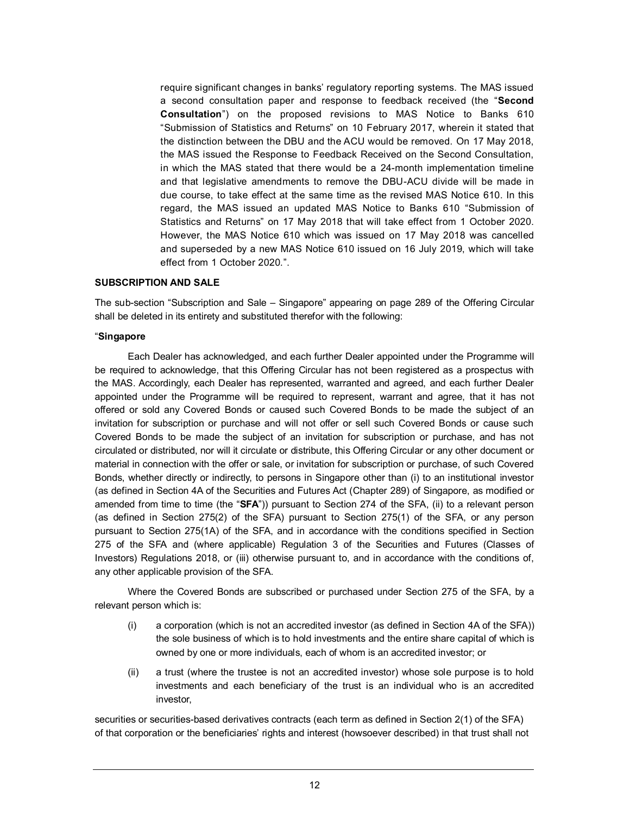require significant changes in banks' regulatory reporting systems. The MAS issued a second consultation paper and response to feedback received (the "**Second Consultation**") on the proposed revisions to MAS Notice to Banks 610 "Submission of Statistics and Returns" on 10 February 2017, wherein it stated that the distinction between the DBU and the ACU would be removed. On 17 May 2018, the MAS issued the Response to Feedback Received on the Second Consultation, in which the MAS stated that there would be a 24-month implementation timeline and that legislative amendments to remove the DBU-ACU divide will be made in due course, to take effect at the same time as the revised MAS Notice 610. In this regard, the MAS issued an updated MAS Notice to Banks 610 "Submission of Statistics and Returns" on 17 May 2018 that will take effect from 1 October 2020. However, the MAS Notice 610 which was issued on 17 May 2018 was cancelled and superseded by a new MAS Notice 610 issued on 16 July 2019, which will take effect from 1 October 2020.".

#### **SUBSCRIPTION AND SALE**

The sub-section "Subscription and Sale – Singapore" appearing on page 289 of the Offering Circular shall be deleted in its entirety and substituted therefor with the following:

#### "**Singapore**

Each Dealer has acknowledged, and each further Dealer appointed under the Programme will be required to acknowledge, that this Offering Circular has not been registered as a prospectus with the MAS. Accordingly, each Dealer has represented, warranted and agreed, and each further Dealer appointed under the Programme will be required to represent, warrant and agree, that it has not offered or sold any Covered Bonds or caused such Covered Bonds to be made the subject of an invitation for subscription or purchase and will not offer or sell such Covered Bonds or cause such Covered Bonds to be made the subject of an invitation for subscription or purchase, and has not circulated or distributed, nor will it circulate or distribute, this Offering Circular or any other document or material in connection with the offer or sale, or invitation for subscription or purchase, of such Covered Bonds, whether directly or indirectly, to persons in Singapore other than (i) to an institutional investor (as defined in Section 4A of the Securities and Futures Act (Chapter 289) of Singapore, as modified or amended from time to time (the "**SFA**")) pursuant to Section 274 of the SFA, (ii) to a relevant person (as defined in Section 275(2) of the SFA) pursuant to Section 275(1) of the SFA, or any person pursuant to Section 275(1A) of the SFA, and in accordance with the conditions specified in Section 275 of the SFA and (where applicable) Regulation 3 of the Securities and Futures (Classes of Investors) Regulations 2018, or (iii) otherwise pursuant to, and in accordance with the conditions of, any other applicable provision of the SFA.

Where the Covered Bonds are subscribed or purchased under Section 275 of the SFA, by a relevant person which is:

- (i) a corporation (which is not an accredited investor (as defined in Section 4A of the SFA)) the sole business of which is to hold investments and the entire share capital of which is owned by one or more individuals, each of whom is an accredited investor; or
- (ii) a trust (where the trustee is not an accredited investor) whose sole purpose is to hold investments and each beneficiary of the trust is an individual who is an accredited investor,

securities or securities-based derivatives contracts (each term as defined in Section 2(1) of the SFA) of that corporation or the beneficiaries' rights and interest (howsoever described) in that trust shall not